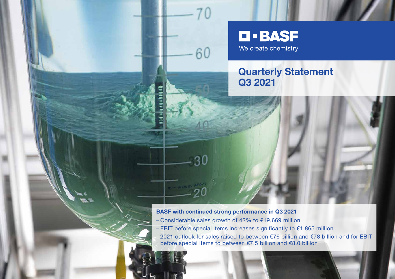# **D-BASF** We create chemistry

## **Quarterly Statement Q3 2021**

### **BASF with continued strong performance in Q3 2021**

60

- Considerable sales growth of 42% to €19,669 million
- EBIT before special items increases significantly to €1,865 million
- 2021 outlook for sales raised to between €76 billion and €78 billion and for EBIT before special items to between €7.5 billion and €8.0 billion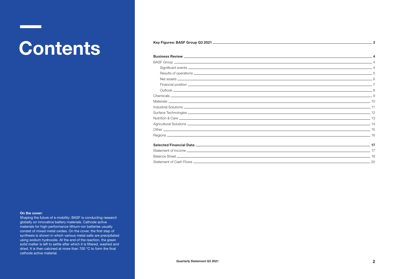# Contents **Contents**

| 20 |
|----|
|    |

#### **On the cover:**

Shaping the future of e-mobility: BASF is conducting research globally on innovative battery materials. Cathode active materials for high-performance lithium-ion batteries usually consist of mixed metal oxides. On the cover, the first step of synthesis is shown in which various metal salts are precipitated using sodium hydroxide. At the end of the reaction, the green solid matter is left to settle after which it is filtered, washed and dried. It is then calcined at more than 700 °C to form the final cathode active material.

**3**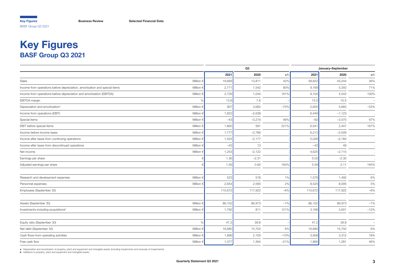## <span id="page-2-0"></span>**Key Figures BASF Group Q3 2021**

|                                                                            |                    | Q3      |          | January-September |         |          |                          |
|----------------------------------------------------------------------------|--------------------|---------|----------|-------------------|---------|----------|--------------------------|
|                                                                            |                    | 2021    | 2020     | $+/-$             | 2021    | 2020     | $+/-$                    |
| Sales                                                                      | Million $\in$      | 19,669  | 13,811   | 42%               | 58,822  | 43,244   | 36%                      |
| Income from operations before depreciation, amortization and special items | Million $\epsilon$ | 2,771   | 1,542    | 80%               | 9,169   | 5,350    | 71%                      |
| Income from operations before depreciation and amortization (EBITDA)       | Million $\epsilon$ | 2,729   | 1,044    | 161%              | 9,104   | 4,542    | 100%                     |
| EBITDA margin                                                              | %                  | 13.9    | 7.6      |                   | 15.5    | 10.5     | $\overline{\phantom{a}}$ |
| Depreciation and amortization <sup>a</sup>                                 | Million $\epsilon$ | 907     | 3,682    | $-75%$            | 2,655   | 5,665    | $-53%$                   |
| Income from operations (EBIT)                                              | Million $\epsilon$ | 1,822   | $-2,638$ |                   | 6,449   | $-1,123$ |                          |
| Special items                                                              | Million $\in$      | $-43$   | $-3,219$ | 99%               | $-92$   | $-3,570$ | 97%                      |
| EBIT before special items                                                  | Million $\epsilon$ | 1,865   | 581      | 221%              | 6,541   | 2,447    | 167%                     |
| Income before income taxes                                                 | Million $\epsilon$ | 1,777   | $-2,786$ |                   | 6,213   | $-2,509$ |                          |
| Income after taxes from continuing operations                              | Million $\in$      | 1,424   | $-2,177$ |                   | 5,028   | $-2,184$ |                          |
| Income after taxes from discontinued operations                            | Million $\epsilon$ | $-43$   | 13       |                   | $-43$   | 49       |                          |
| Net income                                                                 | Million $\epsilon$ | 1,253   | $-2,122$ |                   | 4,625   | $-2,115$ |                          |
| Earnings per share                                                         |                    | 1.36    | $-2.31$  |                   | 5.03    | $-2.30$  |                          |
| Adjusted earnings per share                                                |                    | 1.56    | 0.60     | 160%              | 5.59    | 2.11     | 165%                     |
| Research and development expenses                                          | Million $\epsilon$ | 523     | 518      | 1%                | 1,579   | 1,492    | 6%                       |
| Personnel expenses                                                         | Million $\epsilon$ | 2,654   | 2,590    | 2%                | 8,525   | 8,095    | 5%                       |
| Employees (September 30)                                                   |                    | 110,672 | 117,922  | $-6%$             | 110,672 | 117,922  | $-6%$                    |
| Assets (September 30)                                                      | Million $\epsilon$ | 86,102  | 86,973   | $-1%$             | 86,102  | 86,973   | $-1%$                    |
| Investments including acquisitions <sup>b</sup>                            | Million $\epsilon$ | 1,792   | 811      | 121%              | 3,168   | 3,601    | $-12%$                   |
| Equity ratio (September 30)                                                | $\frac{1}{2}$      | 47.2    | 39.8     |                   | 47.2    | 39.8     | $\equiv$                 |
| Net debt (September 30)                                                    | Million $\epsilon$ | 16,680  | 15,702   | 6%                | 16,680  | 15,702   | 6%                       |
| Cash flows from operating activities                                       | Million $\epsilon$ | 1,896   | 2,100    | $-10%$            | 3,908   | 3,312    | 18%                      |
| Free cash flow                                                             | Million $\epsilon$ | 1,077   | 1,364    | $-21%$            | 1,866   | 1,281    | 46%                      |
|                                                                            |                    |         |          |                   |         |          |                          |

**a** Depreciation and amortization of property, plant and equipment and intangible assets (including impairments and reversals of impairments)<br>**b** Additions to property, plant and equipment and intangible assets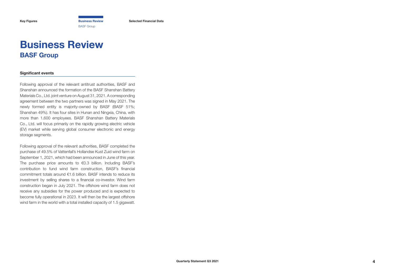BASF Group

<span id="page-3-0"></span>**[Key Figures](#page-2-0) Business Review [Selected Financial Data](#page-16-0)**

## **Business Review BASF Group**

#### **Significant events**

Following approval of the relevant antitrust authorities, BASF and Shanshan announced the formation of the BASF Shanshan Battery Materials Co., Ltd. joint venture on August 31, 2021. A corresponding agreement between the two partners was signed in May 2021. The newly formed entity is majority-owned by BASF (BASF 51%; Shanshan 49%). It has four sites in Hunan and Ningxia, China, with more than 1,600 employees. BASF Shanshan Battery Materials Co., Ltd. will focus primarily on the rapidly growing electric vehicle (EV) market while serving global consumer electronic and energy storage segments.

Following approval of the relevant authorities, BASF completed the purchase of 49.5% of Vattenfall's Hollandse Kust Zuid wind farm on September 1, 2021, which had been announced in June of this year. The purchase price amounts to €0.3 billion. Including BASF's contribution to fund wind farm construction, BASF's financial commitment totals around €1.6 billion. BASF intends to reduce its investment by selling shares to a financial co-investor. Wind farm construction began in July 2021. The offshore wind farm does not receive any subsidies for the power produced and is expected to become fully operational in 2023. It will then be the largest offshore wind farm in the world with a total installed capacity of 1.5 gigawatt.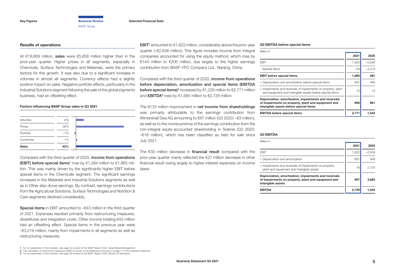<span id="page-4-0"></span>**[Key Figures](#page-2-0) [Business Review](#page-3-0) [Selected Financial Data](#page-16-0)** BASF Group

#### **Results of operations**

At €19,669 million, sales were €5,858 million higher than in the prior-year quarter. Higher prices in all segments, especially in Chemicals, Surface Technologies and Materials, were the primary factors for this growth. It was also due to a significant increase in volumes in almost all segments. Currency effects had a slightly positive impact on sales. Negative portfolio effects, particularly in the Industrial Solutions segment following the sale of the global pigments business, had an offsetting effect.

#### **Factors influencing BASF Group sales in Q3 2021**

| Volumes      | 6%    |  |
|--------------|-------|--|
| Prices       | 36%   |  |
| Portfolio    | $-1%$ |  |
| Currencies   | 1%    |  |
| <b>Sales</b> | 42%   |  |

Compared with the third quarter of 2020, income from operations **(EBIT) before special items<sup>1</sup>** rose by  $\epsilon$ 1,284 million to  $\epsilon$ 1,865 million. This was mainly driven by the significantly higher EBIT before special items in the Chemicals segment. The significant earnings increases in the Materials and Industrial Solutions segments as well as in Other also drove earnings. By contrast, earnings contributions from the Agricultural Solutions, Surface Technologies and Nutrition & Care segments declined considerably.

Special items in EBIT amounted to –€43 million in the third quarter of 2021. Expenses resulted primarily from restructuring measures, divestitures and integration costs. Other income totaling €42 million had an offsetting effect. Special items in the previous year were –€3,219 million, mainly from impairments in all segments as well as restructuring measures.

**2** The calculation of income from operations (EBIT) is shown in the Statement of Income on [page 17 of this quarterly statement.](#page-16-0)

**EBIT**<sup>2</sup> amounted to  $\epsilon$ 1,822 million, considerably above the prior-year quarter (–€2,638 million). This figure includes income from integral companies accounted for using the equity method, which rose by €144 million to €200 million, due largely to the higher earnings contribution from BASF-YPC Company Ltd., Nanjing, China.

Compared with the third quarter of 2020, income from operations before depreciation, amortization and special items (EBITDA **before special items)<sup>3</sup> increased by €1,229 million to €2,771 million** and  $\textsf{EBITDA}^3$  rose by  $\mathsf{\in}$ 1,685 million to  $\mathsf{\in}$ 2,729 million.

The €133 million improvement in net income from shareholdings was primarily attributable to the earnings contribution from Wintershall Dea AG amounting to €97 million (Q3 2020: –€3 million), as well as to the nonrecurrence of the earnings contribution from the non-integral equity-accounted shareholding in Solenis (Q3 2020: –€18 million), which has been classified as held for sale since July 2021.

The €30 million decrease in financial result compared with the prior-year quarter mainly reflected the €27 million decrease in other financial result owing largely to higher interest expenses on income taxes.

#### **Q3 EBITDA before special items**

| Million $\in$                                                                                                                                          |       |          |
|--------------------------------------------------------------------------------------------------------------------------------------------------------|-------|----------|
|                                                                                                                                                        | 2021  | 2020     |
| <b>FBIT</b>                                                                                                                                            | 1,822 | $-2,638$ |
| - Special items                                                                                                                                        | $-43$ | $-3,219$ |
| <b>EBIT</b> before special items                                                                                                                       | 1.865 | 581      |
| + Depreciation and amortization before special items                                                                                                   | 891   | 948      |
| + Impairments and reversals of impairments on property, plant<br>and equipment and intangible assets before special items                              | 15    | 13       |
| Depreciation, amortization, impairments and reversals<br>of impairments on property, plant and equipment and<br>intangible assets before special items | 906   | 961      |
| <b>EBITDA</b> before special items                                                                                                                     | 2.77  | 1.542    |

#### **Q3 EBITDA**

| Million $\in$                                                                                                                     |       |          |
|-----------------------------------------------------------------------------------------------------------------------------------|-------|----------|
|                                                                                                                                   | 2021  | 2020     |
| <b>FBIT</b>                                                                                                                       | 1,822 | $-2,638$ |
| + Depreciation and amortization                                                                                                   | 891   | 948      |
| + Impairments and reversals of impairments on property,<br>plant and equipment and intangible assets                              | 16    | 2.734    |
| Depreciation, amortization, impairments and reversals<br>of impairments on property, plant and equipment and<br>intangible assets | 907   | 3,682    |
| <b>EBITDA</b>                                                                                                                     | 2,729 | 1.044    |

**<sup>1</sup>** For an explanation of this indicator, see [page 33 onward of the BASF Report 2020, Value-Based Management](https://report.basf.com/2020/en/managements-report/our-strategy/value-based-management.html)

**<sup>3</sup>** For an explanation of this indicator, see [page 56 onward of the BASF Report 2020, Results of Operations](https://report.basf.com/2020/en/managements-report/basf-group-business-year/results-of-operations/additional-indicators-for-results-of-operations.html)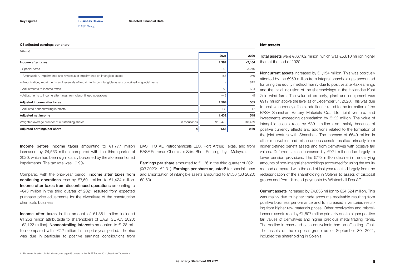BASF Group

#### <span id="page-5-0"></span>**Q3 adjusted earnings per share**

| Million $\in$                                                                                            |         |          |
|----------------------------------------------------------------------------------------------------------|---------|----------|
|                                                                                                          | 2021    | 2020     |
| Income after taxes                                                                                       | 1,381   | $-2,164$ |
| - Special items                                                                                          | $-43$   | $-3,240$ |
| + Amortization, impairments and reversals of impairments on intangible assets                            | 156     | 979      |
| - Amortization, impairments and reversals of impairments on intangible assets contained in special items |         | 815      |
| - Adjustments to income taxes                                                                            | 59      | 684      |
| - Adjustments to income after taxes from discontinued operations                                         | $-43$   | $-9$     |
| Adjusted income after taxes                                                                              | 1,564   | 565      |
| - Adjusted noncontrolling interests                                                                      | 132     | 17       |
| <b>Adjusted net income</b>                                                                               | 1,432   | 548      |
| Weighted average number of outstanding shares<br>in thousands                                            | 918,479 | 918,479  |
| Adjusted earnings per share                                                                              | 1.56    | 0.60     |

Income before income taxes amounting to  $\epsilon$ 1,777 million increased by €4,563 million compared with the third quarter of 2020, which had been significantly burdened by the aforementioned impairments. The tax rate was 19.9%.

Compared with the prior-year period, income after taxes from continuing operations rose by  $63,601$  million to  $61,424$  million. Income after taxes from discontinued operations amounting to –€43 million in the third quarter of 2021 resulted from expected purchase price adjustments for the divestiture of the construction chemicals business.

Income after taxes in the amount of  $€1,381$  million included €1,253 million attributable to shareholders of BASF SE (Q3 2020: –€2,122 million). Noncontrolling interests amounted to €128 million compared with –€42 million in the prior-year period. The rise was due in particular to positive earnings contributions from

BASF TOTAL Petrochemicals LLC, Port Arthur, Texas, and from BASF Petronas Chemicals Sdn. Bhd., Petaling Jaya, Malaysia.

**Earnings per share** amounted to  $\epsilon$ 1.36 in the third quarter of 2021  $(Q3 2020: -E2.31)$ . Earnings per share adjusted<sup>1</sup> for special items and amortization of intangible assets amounted to €1.56 (Q3 2020: €0.60).

#### **Net assets**

Total assets were €86,102 million, which was €5,810 million higher than at the end of 2020.

Noncurrent assets increased by €1,154 million. This was positively affected by the €959 million from integral shareholdings accounted for using the equity method mainly due to positive after-tax earnings and the initial inclusion of the shareholdings in the Hollandse Kust Zuid wind farm. The value of property, plant and equipment was €917 million above the level as of December 31, 2020. This was due to positive currency effects, additions related to the formation of the BASF Shanshan Battery Materials Co., Ltd. joint venture, and investments exceeding depreciation by €192 million. The value of intangible assets rose by €391 million also mainly because of positive currency effects and additions related to the formation of the joint venture with Shanshan. The increase of €649 million in other receivables and miscellaneous assets resulted primarily from higher defined benefit assets and from derivatives with positive fair values. Deferred taxes decreased by €921 million due largely to lower pension provisions. The €773 million decline in the carrying amounts of non-integral shareholdings accounted for using the equity method compared with the end of last year resulted largely from the reclassification of the shareholding in Solenis to assets of disposal groups and from dividend payments by Wintershall Dea AG.

Current assets increased by €4,656 million to €34,524 million. This was mainly due to higher trade accounts receivable resulting from positive business performance and to increased inventories resulting from higher raw materials prices. Other receivables and miscellaneous assets rose by €1,507 million primarily due to higher positive fair values of derivatives and higher precious metal trading items. The decline in cash and cash equivalents had an offsetting effect. The assets of the disposal group as of September 30, 2021, included the shareholding in Solenis.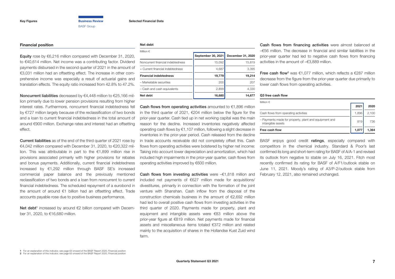#### <span id="page-6-0"></span>**Financial position**

Equity rose by €6,216 million compared with December 31, 2020, to €40,614 million. Net income was a contributing factor. Dividend payments disbursed in the second quarter of 2021 in the amount of €3,031 million had an offsetting effect. The increase in other comprehensive income was especially a result of actuarial gains and translation effects. The equity ratio increased from 42.8% to 47.2%.

Noncurrent liabilities decreased by €4,448 million to €25,166 million primarily due to lower pension provisions resulting from higher interest rates. Furthermore, noncurrent financial indebtedness fell by €727 million largely because of the reclassification of two bonds and a loan to current financial indebtedness in the total amount of around €900 million. Exchange rates and interest had an offsetting effect.

Current liabilities as of the end of the third quarter of 2021 rose by  $€4,042$  million compared with December 31, 2020, to  $€20,322$  million. This was attributable in part to the €1,899 million rise in provisions associated primarily with higher provisions for rebates and bonus payments. Additionally, current financial indebtedness increased by €1,292 million through BASF SE's increased commercial paper balance and the previously mentioned reclassification of two bonds and a loan from noncurrent to current financial indebtedness. The scheduled repayment of a eurobond in the amount of around €1 billion had an offsetting effect. Trade accounts payable rose due to positive business performance.

Net debt<sup>1</sup> increased by around  $\epsilon$ 2 billion compared with December 31, 2020, to €16,680 million.

#### **Net debt**

| Million $\epsilon$                |                    |                   |
|-----------------------------------|--------------------|-------------------|
|                                   | September 30, 2021 | December 31, 2020 |
| Noncurrent financial indebtedness | 15,092             | 15.819            |
| + Current financial indebtedness  | 4,687              | 3,395             |
| <b>Financial indebtedness</b>     | 19,779             | 19.214            |
| - Marketable securities           | 200                | 207               |
| - Cash and cash equivalents       | 2,899              | 4,330             |
| Net debt                          | 16,680             | 14.677            |

Cash flows from operating activities amounted to €1,896 million in the third quarter of 2021,  $\epsilon$ 204 million below the figure for the prior-year quarter. Cash tied up in net working capital was the main reason for the decline. Increased inventories negatively affected operating cash flows by €1,107 million, following a slight decrease in inventories in the prior-year period. Cash released from the decline in trade accounts receivable did not completely offset this. Cash flows from operating activities were bolstered by higher net income: Taking into account lower depreciation and amortization, which had included high impairments in the prior-year quarter, cash flows from operating activities improved by €600 million.

**Cash flows from investing activities** were  $-\epsilon$ 1.818 million and included net payments of €627 million made for acquisitions/ divestitures, primarily in connection with the formation of the joint venture with Shanshan. Cash inflow from the disposal of the construction chemicals business in the amount of €2,692 million had led to overall positive cash flows from investing activities in the third quarter of 2020. Payments made for property, plant and equipment and intangible assets were €83 million above the prior-year figure at €819 million. Net payments made for financial assets and miscellaneous items totaled €372 million and related mainly to the acquisition of shares in the Hollandse Kust Zuid wind farm.

Cash flows from financing activities were almost balanced at –€56 million. The decrease in financial and similar liabilities in the prior-year quarter had led to negative cash flows from financing activities in the amount of –€3,889 million.

Free cash flow<sup>2</sup> was  $\epsilon$ 1,077 million, which reflects a  $\epsilon$ 287 million decrease from the figure from the prior-year quarter due primarily to lower cash flows from operating activities.

#### **Q3 free cash flow**

| Million $\in$                                                              |       |       |
|----------------------------------------------------------------------------|-------|-------|
|                                                                            | 2021  | 2020  |
| Cash flows from operating activities                                       | 1.896 | 2,100 |
| - Payments made for property, plant and equipment and<br>intangible assets | 819   | 736   |
| Free cash flow                                                             | 1.077 | 1.364 |

BASF enjoys good credit ratings, especially compared with competitors in the chemical industry. Standard & Poor's last confirmed its long and short-term rating for BASF of A/A-1 and revised its outlook from negative to stable on July 16, 2021. Fitch most recently confirmed its rating for BASF of A/F1/outlook stable on June 11, 2021. Moody's rating of A3/P-2/outlook stable from February 12, 2021, also remained unchanged.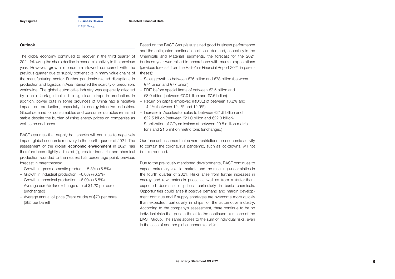<span id="page-7-0"></span>**[Key Figures](#page-2-0) [Business Review](#page-3-0) [Selected Financial Data](#page-16-0)**

BASF Group

#### **Outlook**

The global economy continued to recover in the third quarter of 2021 following the sharp decline in economic activity in the previous year. However, growth momentum slowed compared with the previous quarter due to supply bottlenecks in many value chains of the manufacturing sector. Further pandemic-related disruptions in production and logistics in Asia intensified the scarcity of precursors worldwide. The global automotive industry was especially affected by a chip shortage that led to significant drops in production. In addition, power cuts in some provinces of China had a negative impact on production, especially in energy-intensive industries. Global demand for consumables and consumer durables remained stable despite the burden of rising energy prices on companies as well as on end users.

BASF assumes that supply bottlenecks will continue to negatively impact global economic recovery in the fourth quarter of 2021. The assessment of the global economic environment in 2021 has therefore been slightly adjusted (figures for industrial and chemical production rounded to the nearest half percentage point; previous forecast in parentheses):

- Growth in gross domestic product: +5.3% (+5.5%)
- Growth in industrial production: +6.0% (+6.5%)
- Growth in chemical production: +6.0% (+6.5%)
- Average euro/dollar exchange rate of \$1.20 per euro (unchanged)
- Average annual oil price (Brent crude) of \$70 per barrel (\$65 per barrel)

Based on the BASF Group's sustained good business performance and the anticipated continuation of solid demand, especially in the Chemicals and Materials segments, the forecast for the 2021 business year was raised in accordance with market expectations (previous forecast from the Half-Year Financial Report 2021 in parentheses):

- Sales growth to between €76 billion and €78 billion (between €74 billion and €77 billion)
- FBIT before special items of between  $\epsilon$ 7.5 billion and €8.0 billion (between €7.0 billion and €7.5 billion)
- Return on capital employed (ROCE) of between 13.2% and 14.1% (between 12.1% and 12.9%)
- Increase in Accelerator sales to between €21.5 billion and  $\epsilon$ 22.5 billion (between  $\epsilon$ 21.0 billion and  $\epsilon$ 22.0 billion)
- $-$  Stabilization of CO<sub>2</sub> emissions at between 20.5 million metric tons and 21.5 million metric tons (unchanged)

Our forecast assumes that severe restrictions on economic activity to contain the coronavirus pandemic, such as lockdowns, will not be reintroduced.

Due to the previously mentioned developments, BASF continues to expect extremely volatile markets and the resulting uncertainties in the fourth quarter of 2021. Risks arise from further increases in energy and raw materials prices as well as from a faster-thanexpected decrease in prices, particularly in basic chemicals. Opportunities could arise if positive demand and margin development continue and if supply shortages are overcome more quickly than expected, particularly in chips for the automotive industry. According to the company's assessment, there continue to be no individual risks that pose a threat to the continued existence of the BASF Group. The same applies to the sum of individual risks, even in the case of another global economic crisis.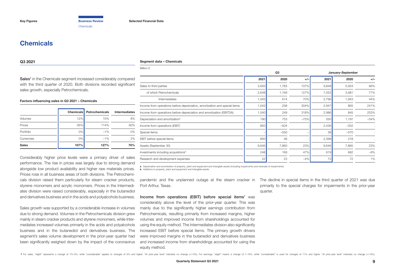Chemicals

## <span id="page-8-0"></span>**Chemicals**

#### **Q3 2021**

#### **Segment data – Chemicals**

Sales<sup>1</sup> in the Chemicals segment increased considerably compared with the third quarter of 2020. Both divisions recorded significant sales growth, especially Petrochemicals.

#### **Factors influencing sales in Q3 2021 – Chemicals**

|              | <b>Chemicals</b> | <b>Petrochemicals</b> | <b>Intermediates</b> |
|--------------|------------------|-----------------------|----------------------|
| Volumes      | 12%              | 15%                   | 8%                   |
| Prices       | 95%              | 114%                  | 60%                  |
| Portfolio    | $0\%$            | $-1%$                 | 0%                   |
| Currencies   | $0\%$            | $-1%$                 | 2%                   |
| <b>Sales</b> | 107%             | 127%                  | 70%                  |

Considerably higher price levels were a primary driver of sales performance. The rise in prices was largely due to strong demand alongside low product availability and higher raw materials prices. Prices rose in all business areas of both divisions. The Petrochemicals division raised them particularly for steam cracker products, styrene monomers and acrylic monomers. Prices in the Intermediates division were raised considerably, especially in the butanediol and derivatives business and in the acids and polyalcohols business.

Sales growth was supported by a considerable increase in volumes due to strong demand. Volumes in the Petrochemicals division grew mainly in steam cracker products and styrene monomers, while Intermediates increased volumes primarily in the acids and polyalcohols business and in the butanediol and derivatives business. The segment's sales volume development in the prior-year quarter had been significantly weighed down by the impact of the coronavirus

| Million $\in$                                                              |                         |        |        |       |        |        |
|----------------------------------------------------------------------------|-------------------------|--------|--------|-------|--------|--------|
|                                                                            | Q3<br>January-September |        |        |       |        |        |
|                                                                            | 2021                    | 2020   | $+/-$  | 2021  | 2020   | $+/-$  |
| Sales to third parties                                                     | 3,693                   | 1,783  | 107%   | 9,848 | 5,924  | 66%    |
| of which Petrochemicals                                                    | 2,648                   | 1,169  | 127%   | 7,052 | 3,981  | 77%    |
| Intermediates                                                              | 1,045                   | 614    | 70%    | 2,796 | 1,943  | 44%    |
| Income from operations before depreciation, amortization and special items | 1,042                   | 258    | 304%   | 2,947 | 865    | 241%   |
| Income from operations before depreciation and amortization (EBITDA)       | 1,040                   | 249    | 318%   | 2,986 | 845    | 253%   |
| Depreciation and amortization <sup>a</sup>                                 | 190                     | 753    | $-75%$ | 550   | 1,197  | $-54%$ |
| Income from operations (EBIT)                                              | 850                     | $-504$ |        | 2,436 | $-352$ |        |
| Special items                                                              |                         | $-550$ |        | 38    | $-570$ |        |
| EBIT before special items                                                  | 850                     | 46     |        | 2,398 | 218    |        |
| Assets (September 30)                                                      | 9,646                   | 7,860  | 23%    | 9,646 | 7,860  | 23%    |
| Investments including acquisitions <sup>b</sup>                            | 248                     | 169    | 47%    | 619   | 682    | $-9%$  |
| Research and development expenses                                          | 22                      | 23     | $-4%$  | 73    | 72     | 1%     |

**a** Depreciation and amortization of property, plant and equipment and intangible assets (including impairments and reversals of impairments)

**b** Additions to property, plant and equipment and intangible assets

pandemic and the unplanned outage at the steam cracker in The decline in special items in the third quarter of 2021 was due Port Arthur, Texas.

Income from operations (EBIT) before special items<sup>1</sup> was considerably above the level of the prior-year quarter. This was mainly due to the significantly higher earnings contribution from Petrochemicals, resulting primarily from increased margins, higher volumes and improved income from shareholdings accounted for using the equity method. The Intermediates division also significantly increased EBIT before special items. The primary growth drivers were improved margins in the butanediol and derivatives business and increased income from shareholdings accounted for using the equity method.

primarily to the special charges for impairments in the prior-year quarter.

1 For sales, "slight" represents a change of 1%-5%, while "considerable" applies to changes of 6% and higher. "At prior-year level" indicates no change (+/-0%). For earnings, "slight" means a change of 1-10%, while "consid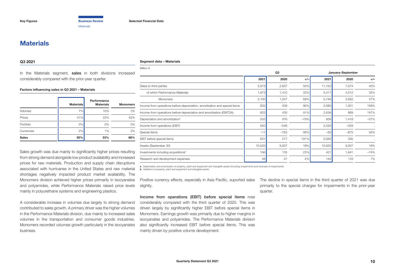**Materials** 

### <span id="page-9-0"></span>**Materials**

#### **Q3 2021**

#### **Segment data – Materials**

In the Materials segment, sales in both divisions increased considerably compared with the prior-year quarter.

#### **Factors influencing sales in Q3 2021 – Materials**

|              | <b>Materials</b> | Performance<br><b>Materials</b> | <b>Monomers</b> |
|--------------|------------------|---------------------------------|-----------------|
| Volumes      | 7%               | 10%                             | 3%              |
| Prices       | 41%              | 22%                             | 63%             |
| Portfolio    | 0%               | 0%                              | $0\%$           |
| Currencies   | 2%               | 1%                              | 2%              |
| <b>Sales</b> | 50%              | 33%                             | 68%             |

Sales growth was due mainly to significantly higher prices resulting from strong demand alongside low product availability and increased prices for raw materials. Production and supply chain disruptions associated with hurricanes in the United States and raw material shortages negatively impacted product market availability. The Monomers division achieved higher prices primarily in isocyanates and polyamides, while Performance Materials raised price levels mainly in polyurethane systems and engineering plastics.

A considerable increase in volumes due largely to strong demand contributed to sales growth. A primary driver was the higher volumes in the Performance Materials division, due mainly to increased sales volumes in the transportation and consumer goods industries. Monomers recorded volumes growth particularly in the isocyanates business.

| Million $\in$                                                              |                         |        |        |        |        |           |
|----------------------------------------------------------------------------|-------------------------|--------|--------|--------|--------|-----------|
|                                                                            | Q3<br>January-September |        |        |        |        |           |
|                                                                            | 2021                    | 2020   | $+/-$  | 2021   | 2020   | $+/-$     |
| Sales to third parties                                                     | 3,973                   | 2,657  | 50%    | 11,163 | 7,674  | 45%       |
| of which Performance Materials                                             | 1,873                   | 1,410  | 33%    | 5,417  | 4,012  | 35%       |
| Monomers                                                                   | 2,100                   | 1,247  | 68%    | 5,746  | 3,662  | 57%       |
| Income from operations before depreciation, amortization and special items | 832                     | 439    | 90%    | 2,680  | 1,001  | 168%      |
| Income from operations before depreciation and amortization (EBITDA)       | 822                     | 430    | 91%    | 2,636  | 889    | 197%      |
| Depreciation and amortization <sup>a</sup>                                 | 202                     | 976    | $-79%$ | 606    | 1,418  | $-57%$    |
| Income from operations (EBIT)                                              | 620                     | $-546$ |        | 2,030  | $-529$ |           |
| Special items                                                              | $-11$                   | $-763$ | 99%    | $-65$  | $-875$ | 93%       |
| EBIT before special items                                                  | 631                     | 217    | 191%   | 2,095  | 346    |           |
| Assets (September 30)                                                      | 10,620                  | 9,007  | 18%    | 10,620 | 9,007  | 18%       |
| Investments including acquisitions <sup>b</sup>                            | 166                     | 135    | 23%    | 421    | 1,641  | $-74%$    |
| Research and development expenses                                          | 48                      | 47     | 2%     | 142    | 133    | <b>7%</b> |

**a** Depreciation and amortization of property, plant and equipment and intangible assets (including impairments and reversals of impairments)<br>**b** Additions to property, plant and equipment and intangible assets

Positive currency effects, especially in Asia Pacific, suported sales The decline in special items in the third quarter of 2021 was due slightly.

Income from operations (EBIT) before special items rose considerably compared with the third quarter of 2020. This was driven largely by significantly higher EBIT before special items in Monomers. Earnings growth was primarily due to higher margins in isocyanates and polyamides. The Performance Materials division also significantly increased EBIT before special items. This was mainly driven by positive volume development.

primarily to the special charges for impairments in the prior-year quarter.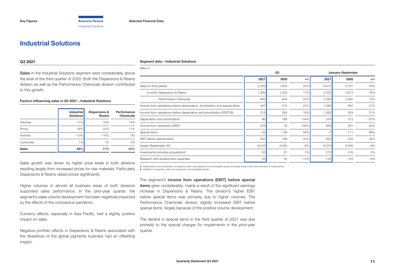## <span id="page-10-0"></span>**Industrial Solutions**

#### **Q3 2021**

**Segment data – Industrial Solutions**

Sales in the Industrial Solutions segment were considerably above the level of the third quarter of 2020. Both the Dispersions & Resins division as well as the Performance Chemicals division contributed to this growth.

#### **Factors influencing sales in Q3 2021 – Industrial Solutions**

|              | <b>Industrial</b><br><b>Solutions</b> | Dispersions &<br><b>Resins</b> | Performance<br>Chemicals |
|--------------|---------------------------------------|--------------------------------|--------------------------|
| Volumes      | 11%                                   | 10%                            | 14%                      |
| Prices       | 18%                                   | 22%                            | 11%                      |
| Portfolio    | $-10%$                                | $-16%$                         | 0%                       |
| Currencies   | 1%                                    | 1%                             | 0%                       |
| <b>Sales</b> | 20%                                   | 17%                            | 25%                      |

Sales growth was driven by higher price levels in both divisions resulting largely from increased prices for raw materials. Particularly Dispersions & Resins raised prices significantly.

Higher volumes in almost all business areas of both divisions supported sales performance. In the prior-year quarter, the segment's sales volume development had been negatively impacted by the effects of the coronavirus pandemic.

Currency effects, especially in Asia Pacific, had a slightly positive impact on sales.

Negative portfolio effects in Dispersions & Resins associated with the divestiture of the global pigments business had an offsetting impact.

| Million $\in$                                                              |       |        |        |                   |        |        |  |
|----------------------------------------------------------------------------|-------|--------|--------|-------------------|--------|--------|--|
|                                                                            |       | Q3     |        | January-September |        |        |  |
|                                                                            | 2021  | 2020   | $+/-$  | 2021              | 2020   | $+/-$  |  |
| Sales to third parties                                                     | 2,205 | 1,844  | 20%    | 6,672             | 5,761  | 16%    |  |
| of which Dispersions & Resins                                              | 1,399 | 1,200  | 17%    | 4,322             | 3,674  | 18%    |  |
| Performance Chemicals                                                      | 806   | 644    | 25%    | 2,350             | 2,087  | 13%    |  |
| Income from operations before depreciation, amortization and special items | 347   | 274    | 27%    | 1,085             | 897    | 21%    |  |
| Income from operations before depreciation and amortization (EBITDA)       | 315   | 264    | 19%    | 1,082             | 824    | 31%    |  |
| Depreciation and amortization <sup>a</sup>                                 | 86    | 186    | $-54%$ | 254               | 373    | $-32%$ |  |
| Income from operations (EBIT)                                              | 229   | 78     | 194%   | 828               | 451    | 84%    |  |
| Special items                                                              | $-33$ | $-108$ | 69%    | $-7$              | $-171$ | 96%    |  |
| EBIT before special items                                                  | 262   | 186    | 41%    | 835               | 622    | 34%    |  |
| Assets (September 30)                                                      | 6,010 | 6,556  | $-8%$  | 6,010             | 6,556  | $-8%$  |  |
| Investments including acquisitions <sup>b</sup>                            | 83    | 81     | 2%     | 215               | 216    | 0%     |  |
| Research and development expenses                                          | 39    | 45     | $-13%$ | 129               | 133    | $-3%$  |  |

**a** Depreciation and amortization of property, plant and equipment and intangible assets (including impairments and reversals of impairments) **b** Additions to property, plant and equipment and intangible assets

The segment's income from operations (EBIT) before special items grew considerably, mainly a result of the significant earnings increase in Dispersions & Resins. The division's higher EBIT before special items was primarily due to higher volumes. The Performance Chemicals division slightly increased EBIT before special items, largely because of the positive volume development.

The decline in special items in the third quarter of 2021 was due primarily to the special charges for impairments in the prior-year quarter.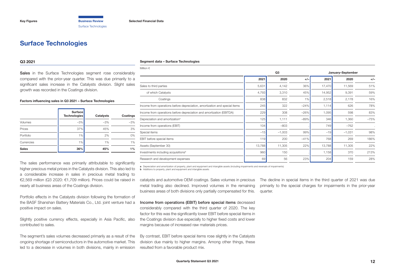## <span id="page-11-0"></span>**Surface Technologies**

#### **Q3 2021**

Sales in the Surface Technologies segment rose considerably compared with the prior-year quarter. This was due primarily to a significant sales increase in the Catalysts division. Slight sales growth was recorded in the Coatings division.

#### **Factors influencing sales in Q3 2021 – Surface Technologies**

|              | <b>Surface</b><br><b>Technologies</b> | Catalysts | Coatings |
|--------------|---------------------------------------|-----------|----------|
| Volumes      | $-3%$                                 | $-3%$     | $-3%$    |
| Prices       | 37%                                   | 45%       | 3%       |
| Portfolio    | 1%                                    | 2%        | 0%       |
| Currencies   | 1%                                    | 1%        | 1%       |
| <b>Sales</b> | 36%                                   | 45%       | 1%       |

The sales performance was primarily attributable to significantly higher precious metal prices in the Catalysts division. This also led to a considerable increase in sales in precious metal trading to €2,569 million (Q3 2020: €1,709 million). Prices could be raised in nearly all business areas of the Coatings division.

Portfolio effects in the Catalysts division following the formation of the BASF Shanshan Battery Materials Co., Ltd. joint venture had a positive impact on sales.

Slightly positive currency effects, especially in Asia Pacific, also contributed to sales.

The segment's sales volumes decreased primarily as a result of the ongoing shortage of semiconductors in the automotive market. This led to a decrease in volumes in both divisions, mainly in emission

#### **Segment data – Surface Technologies**

| Million $\in$                                                              |                         |          |        |        |          |        |
|----------------------------------------------------------------------------|-------------------------|----------|--------|--------|----------|--------|
|                                                                            | Q3<br>January-September |          |        |        |          |        |
|                                                                            | 2021                    | 2020     | $+/-$  | 2021   | 2020     | $+/-$  |
| Sales to third parties                                                     | 5,631                   | 4,142    | 36%    | 17,470 | 11,569   | 51%    |
| of which Catalysts                                                         | 4,793                   | 3,310    | 45%    | 14,952 | 9,391    | 59%    |
| Coatings                                                                   | 838                     | 832      | 1%     | 2,518  | 2,178    | 16%    |
| Income from operations before depreciation, amortization and special items | 245                     | 322      | $-24%$ | 1,114  | 626      | 78%    |
| Income from operations before depreciation and amortization (EBITDA)       | 229                     | 308      | $-26%$ | 1,095  | 598      | 83%    |
| Depreciation and amortization <sup>a</sup>                                 | 125                     | 1,111    | $-89%$ | 346    | 1,360    | $-75%$ |
| Income from operations (EBIT)                                              | 104                     | $-803$   |        | 749    | $-762$   |        |
| Special items                                                              | $-15$                   | $-1,003$ | 99%    | $-19$  | $-1,031$ | 98%    |
| EBIT before special items                                                  | 119                     | 200      | $-41%$ | 768    | 269      | 186%   |
| Assets (September 30)                                                      | 13,788                  | 11,305   | 22%    | 13,788 | 11,305   | 22%    |
| Investments including acquisitions <sup>b</sup>                            | 960                     | 150      |        | 1,158  | 370      | 213%   |
| Research and development expenses                                          | 69                      | 56       | 23%    | 204    | 159      | 28%    |
|                                                                            |                         |          |        |        |          |        |

**a** Depreciation and amortization of property, plant and equipment and intangible assets (including impairments and reversals of impairments)

**b** Additions to property, plant and equipment and intangible assets

catalysts and automotive OEM coatings. Sales volumes in precious metal trading also declined. Improved volumes in the remaining business areas of both divisions only partially compensated for this.

Income from operations (EBIT) before special items decreased considerably compared with the third quarter of 2020. The key factor for this was the significantly lower EBIT before special items in the Coatings division due especially to higher fixed costs and lower margins because of increased raw materials prices.

By contrast, EBIT before special items rose slightly in the Catalysts division due mainly to higher margins. Among other things, these resulted from a favorable product mix.

The decline in special items in the third quarter of 2021 was due primarily to the special charges for impairments in the prior-year quarter.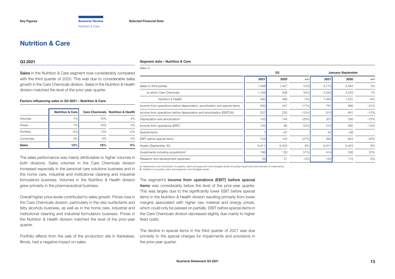## <span id="page-12-0"></span>**Nutrition & Care**

#### **Q3 2021**

Sales in the Nutrition & Care segment rose considerably compared with the third quarter of 2020. This was due to considerable sales growth in the Care Chemicals division. Sales in the Nutrition & Health division matched the level of the prior-year quarter.

#### **Factors influencing sales in Q3 2021 – Nutrition & Care**

|              | <b>Nutrition &amp; Care</b> |        | <b>Care Chemicals Nutrition &amp; Health</b> |
|--------------|-----------------------------|--------|----------------------------------------------|
| Volumes      | 7%                          | 10%    | 2%                                           |
| Prices       | 7%                          | 10%    | 0%                                           |
| Portfolio    | $-2%$                       | $-2\%$ | $-2%$                                        |
| Currencies   | $0\%$                       | 0%     | 0%                                           |
| <b>Sales</b> | 12%                         | 18%    | 0%                                           |

The sales performance was mainly attributable to higher volumes in both divisions. Sales volumes in the Care Chemicals division increased especially in the personal care solutions business and in the home care, industrial and institutional cleaning and industrial formulators business. Volumes in the Nutrition & Health division grew primarily in the pharmaceutical business.

Overall higher price levels contributed to sales growth. Prices rose in the Care Chemicals division, particularly in the oleo surfactants and fatty alcohols business, as well as in the home care, industrial and institutional cleaning and industrial formulators business. Prices in the Nutrition & Health division matched the level of the prior-year quarter.

Portfolio effects from the sale of the production site in Kankakee, Illinois, had a negative impact on sales.

#### **Segment data – Nutrition & Care**

| Million $\in$                                                              |       |       |        |                   |       |        |
|----------------------------------------------------------------------------|-------|-------|--------|-------------------|-------|--------|
|                                                                            |       | Q3    |        | January-September |       |        |
|                                                                            | 2021  | 2020  | $+/-$  | 2021              | 2020  | $+/-$  |
| Sales to third parties                                                     | 1,598 | 1,427 | 12%    | 4,715             | 4,564 | 3%     |
| of which Care Chemicals                                                    | 1,108 | 938   | 18%    | 3,250             | 3,033 | 7%     |
| Nutrition & Health                                                         | 490   | 489   | $0\%$  | 1,465             | 1,531 | $-4%$  |
| Income from operations before depreciation, amortization and special items | 206   | 247   | $-17%$ | 761               | 966   | $-21%$ |
| Income from operations before depreciation and amortization (EBITDA)       | 207   | 230   | $-10%$ | 815               | 941   | $-13%$ |
| Depreciation and amortization <sup>a</sup>                                 | 102   | 144   | $-29%$ | 301               | 356   | $-15%$ |
| Income from operations (EBIT)                                              | 105   | 86    | 22%    | 514               | 585   | $-12%$ |
| Special items                                                              |       | $-57$ |        | 54                | $-68$ |        |
| EBIT before special items                                                  | 104   | 143   | $-27%$ | 460               | 653   | $-30%$ |
| Assets (September 30)                                                      | 6,911 | 6,423 | 8%     | 6,911             | 6,423 | 8%     |
| Investments including acquisitions <sup>b</sup>                            | 196   | 130   | 51%    | 414               | 336   | 23%    |
| Research and development expenses                                          | 39    | 41    | $-5%$  | 122               | 115   | 6%     |
|                                                                            |       |       |        |                   |       |        |

**a** Depreciation and amortization of property, plant and equipment and intangible assets (including impairments and reversals of impairments)<br>**b** Additions to property, plant and equipment and intangible assets

The segment's income from operations (EBIT) before special items was considerably below the level of the prior-year quarter. This was largely due to the significantly lower EBIT before special items in the Nutrition & Health division resulting primarily from lower margins associated with higher raw material and energy prices, which could only be passed on partially. EBIT before special items in the Care Chemicals division decreased slightly due mainly to higher fixed costs.

The decline in special items in the third quarter of 2021 was due primarily to the special charges for impairments and provisions in the prior-year quarter.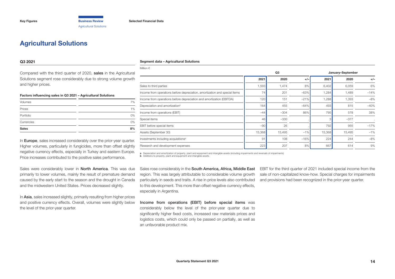<span id="page-13-0"></span>**[Key Figures](#page-2-0) [Business Review](#page-3-0) [Selected Financial Data](#page-16-0)** Agricultural Solutions

## **Agricultural Solutions**

#### **Q3 2021**

Compared with the third quarter of 2020, sales in the Agricultural Solutions segment rose considerably due to strong volume growth and higher prices.

#### **Factors influencing sales in Q3 2021 – Agricultural Solutions**

| <b>Sales</b> | 8% |
|--------------|----|
| Currencies   | 0% |
| Portfolio    | 0% |
| Prices       | 1% |
| Volumes      | 7% |

In **Europe**, sales increased considerably over the prior-year quarter. Higher volumes, particularly in fungicides, more than offset slightly negative currency effects, especially in Turkey and eastern Europe. Price increases contributed to the positive sales performance.

Sales were considerably lower in **North America**. This was due primarily to lower volumes, mainly the result of premature demand caused by the early start to the season and the drought in Canada and the midwestern United States. Prices decreased slightly.

In Asia, sales increased slightly, primarily resulting from higher prices and positive currency effects. Overall, volumes were slightly below the level of the prior-year quarter.

#### **Segment data – Agricultural Solutions**

| Million $\epsilon$                                                         |        |                         |        |        |        |        |
|----------------------------------------------------------------------------|--------|-------------------------|--------|--------|--------|--------|
|                                                                            |        | Q3<br>January-September |        |        |        |        |
|                                                                            | 2021   | 2020                    | $+/-$  | 2021   | 2020   | $+/-$  |
| Sales to third parties                                                     | 1,593  | 1,474                   | 8%     | 6,402  | 6,059  | 6%     |
| Income from operations before depreciation, amortization and special items | 74     | 201                     | $-63%$ | 1,284  | 1,489  | $-14%$ |
| Income from operations before depreciation and amortization (EBITDA)       | 120    | 151                     | $-21%$ | 1,288  | 1,393  | $-8%$  |
| Depreciation and amortization <sup>a</sup>                                 | 164    | 455                     | $-64%$ | 493    | 815    | $-40%$ |
| Income from operations (EBIT)                                              | $-44$  | $-304$                  | 86%    | 795    | 578    | 38%    |
| Special items                                                              | 46     | $-330$                  |        | 3      | $-377$ |        |
| EBIT before special items                                                  | $-90$  | 26                      |        | 792    | 955    | $-17%$ |
| Assets (September 30)                                                      | 15,368 | 15,495                  | $-1%$  | 15,368 | 15,495 | $-1%$  |
| Investments including acquisitions <sup>b</sup>                            | 91     | 108                     | $-16%$ | 224    | 244    | $-8%$  |
| Research and development expenses                                          | 223    | 207                     | 8%     | 667    | 614    | 9%     |
|                                                                            |        |                         |        |        |        |        |

**a** Depreciation and amortization of property, plant and equipment and intangible assets (including impairments and reversals of impairments) **b** Additions to property, plant and equipment and intangible assets

Sales rose considerably in the **South America, Africa, Middle East** region. This was largely attributable to considerable volume growth particularly in seeds and traits. A rise in price levels also contributed to this development. This more than offset negative currency effects, especially in Argentina.

EBIT for the third quarter of 2021 included special income from the sale of non-capitalized know-how. Special charges for impairments and provisions had been recognized in the prior-year quarter.

Income from operations (EBIT) before special items was considerably below the level of the prior-year quarter due to significantly higher fixed costs, increased raw materials prices and logistics costs, which could only be passed on partially, as well as an unfavorable product mix.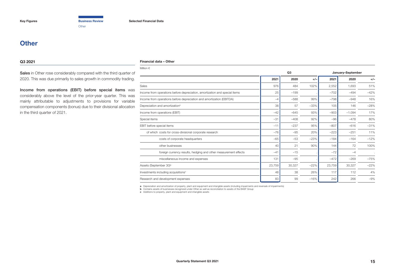**Other** 

## <span id="page-14-0"></span>**Other**

#### **Q3 2021**

#### **Financial data – Other**

Sales in Other rose considerably compared with the third quarter of 2020. This was due primarily to sales growth in commodity trading.

Income from operations (EBIT) before special items was considerably above the level of the prior-year quarter. This was mainly attributable to adjustments to provisions for variable compensation components (bonus) due to their divisional allocation in the third quarter of 2021.

| Million $\in$                                                              |        |        |        |        |                   |        |
|----------------------------------------------------------------------------|--------|--------|--------|--------|-------------------|--------|
|                                                                            |        | Q3     |        |        | January-September |        |
|                                                                            | 2021   | 2020   | $+/-$  | 2021   | 2020              | $+/-$  |
| <b>Sales</b>                                                               | 976    | 484    | 102%   | 2,552  | 1,693             | 51%    |
| Income from operations before depreciation, amortization and special items | 25     | $-199$ |        | $-702$ | $-494$            | $-42%$ |
| Income from operations before depreciation and amortization (EBITDA)       | -4     | $-588$ | 99%    | $-798$ | $-948$            | 16%    |
| Depreciation and amortization <sup>a</sup>                                 | 38     | 57     | $-33%$ | 105    | 146               | $-28%$ |
| Income from operations (EBIT)                                              | $-42$  | $-645$ | 93%    | $-903$ | $-1.094$          | 17%    |
| Special items                                                              | $-31$  | $-408$ | 92%    | $-96$  | $-478$            | 80%    |
| <b>EBIT</b> before special items                                           | $-11$  | $-237$ | 95%    | $-807$ | $-616$            | $-31%$ |
| of which costs for cross-divisional corporate research                     | $-76$  | $-95$  | 20%    | $-223$ | $-251$            | 11%    |
| costs of corporate headquarters                                            | $-65$  | $-53$  | $-23%$ | $-184$ | $-164$            | $-12%$ |
| other businesses                                                           | 40     | 21     | 90%    | 144    | 72                | 100%   |
| foreign currency results, hedging and other measurement effects            | $-41$  | $-15$  |        | $-72$  | $-4$              |        |
| miscellaneous income and expenses                                          | 131    | $-95$  |        | $-472$ | $-269$            | $-75%$ |
| Assets (September 30) <sup>b</sup>                                         | 23,759 | 30,327 | $-22%$ | 23,759 | 30,327            | $-22%$ |
| Investments including acquisitions <sup>c</sup>                            | 48     | 38     | 26%    | 117    | 112               | 4%     |
| Research and development expenses                                          | 83     | 99     | $-16%$ | 242    | 266               | $-9%$  |

a Depreciation and amortization of property, plant and equipment and intangible assets (including impairments and reversals of impairments)<br>b Contains assets of businesses recognized under Other as well as reconciliation t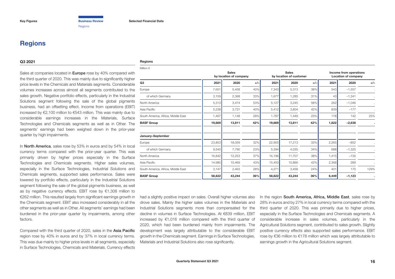**Regions** 

## <span id="page-15-0"></span>**Regions**

#### **Q3 2021**

#### **Regions**

Sales at companies located in **Europe** rose by 40% compared with the third quarter of 2020. This was mainly due to significantly higher price levels in the Chemicals and Materials segments. Considerable volumes increases across almost all segments contributed to the sales growth. Negative portfolio effects, particularly in the Industrial Solutions segment following the sale of the global pigments business, had an offsetting effect. Income from operations (EBIT) increased by €2,100 million to €543 million. This was mainly due to considerable earnings increases in the Materials, Surface Technologies and Chemicals segments as well as in Other. The segments' earnings had been weighed down in the prior-year quarter by high impairments.

In North America, sales rose by 53% in euros and by 54% in local currency terms compared with the prior-year quarter. This was primarily driven by higher prices especially in the Surface Technologies and Chemicals segments. Higher sales volumes, especially in the Surface Technologies, Industrial Solutions and Chemicals segments, supported sales performance. Sales were lowered by portfolio effects, particularly in the Industrial Solutions segment following the sale of the global pigments business, as well as by negative currency effects. EBIT rose by €1,308 million to €262 million. This resulted largely from significant earnings growth in the Chemicals segment. EBIT also increased considerably in all the other segments as well as in Other. All segments' earnings had been burdened in the prior-year quarter by impairments, among other factors.

Compared with the third quarter of 2020, sales in the Asia Pacific region rose by 40% in euros and by 37% in local currency terms. This was due mainly to higher price levels in all segments, especially in Surface Technologies, Chemicals and Materials. Currency effects

| Million $\in$                      |        |                                        |       |        |                                         |       |       |                                                      |       |  |
|------------------------------------|--------|----------------------------------------|-------|--------|-----------------------------------------|-------|-------|------------------------------------------------------|-------|--|
|                                    |        | <b>Sales</b><br>by location of company |       |        | <b>Sales</b><br>by location of customer |       |       | Income from operations<br><b>Location of company</b> |       |  |
| Q3                                 | 2021   | 2020                                   | $+/-$ | 2021   | 2020                                    | $+/-$ | 2021  | 2020                                                 | $+/-$ |  |
| Europe                             | 7,651  | 5,458                                  | 40%   | 7,343  | 5,313                                   | 38%   | 543   | $-1,557$                                             |       |  |
| of which Germany                   | 3,159  | 2,368                                  | 33%   | 1,677  | 1,285                                   | 31%   | 43    | $-1,341$                                             |       |  |
| North America                      | 5,313  | 3,474                                  | 53%   | 5,127  | 3,245                                   | 58%   | 262   | $-1,046$                                             |       |  |
| Asia Pacific                       | 5,238  | 3,731                                  | 40%   | 5,412  | 3,804                                   | 42%   | 839   | $-177$                                               |       |  |
| South America, Africa, Middle East | 1,467  | 1,148                                  | 28%   | 1,787  | 1,449                                   | 23%   | 178   | 142                                                  | 25%   |  |
| <b>BASF Group</b>                  | 19,669 | 13,811                                 | 42%   | 19,669 | 13,811                                  | 42%   | 1,822 | $-2,638$                                             |       |  |
| January-September                  |        |                                        |       |        |                                         |       |       |                                                      |       |  |
| Europe                             | 23,853 | 18,059                                 | 32%   | 22,905 | 17,213                                  | 33%   | 2,265 | $-852$                                               |       |  |
| of which Germany                   | 9,545  | 7,790                                  | 23%   | 5,394  | 4,035                                   | 34%   | 688   | $-1,325$                                             |       |  |
| North America                      | 16,842 | 12,253                                 | 37%   | 16,196 | 11,707                                  | 38%   | 1,415 | $-735$                                               |       |  |
| Asia Pacific                       | 14,980 | 10,469                                 | 43%   | 15,450 | 10,866                                  | 42%   | 2,368 | 289                                                  |       |  |
| South America, Africa, Middle East | 3,147  | 2,463                                  | 28%   | 4,271  | 3,458                                   | 24%   | 401   | 175                                                  | 129%  |  |
| <b>BASF Group</b>                  | 58,822 | 43,244                                 | 36%   | 58,822 | 43,244                                  | 36%   | 6,449 | $-1,123$                                             |       |  |

had a slightly positive impact on sales. Overall higher volumes also drove sales. Mainly the higher sales volumes in the Materials and Industrial Solutions segments more than compensated for the decline in volumes in Surface Technologies. At €839 million, EBIT increased by €1,016 million compared with the third quarter of 2020, which had been burdened mainly from impairments. The development was largely attributable to the considerable EBIT growth in the Chemicals segment. Earnings in Surface Technologies, Materials and Industrial Solutions also rose significantly.

In the region South America, Africa, Middle East, sales rose by 28% in euros and by 27% in local currency terms compared with the third quarter of 2020. This was primarily due to higher prices, especially in the Surface Technologies and Chemicals segments. A considerable increase in sales volumes, particularly in the Agricultural Solutions segment, contributed to sales growth. Slightly positive currency effects also supported sales performance. EBIT rose by €36 million to €178 million which was largely attributable to earnings growth in the Agricultural Solutions segment.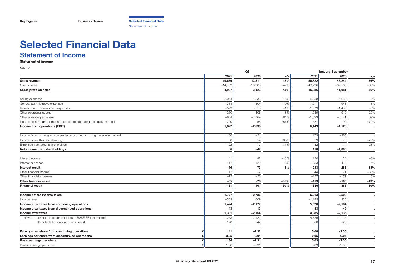<span id="page-16-0"></span>

## **Selected Financial Data**

## **Statement of Income**

**Statement of income**

| Million $\in$                                                                       | Q <sub>3</sub><br>January-September |                      |        |                   |                      |        |
|-------------------------------------------------------------------------------------|-------------------------------------|----------------------|--------|-------------------|----------------------|--------|
|                                                                                     | 2021                                | 2020                 | $+/-$  | 2021              | 2020                 | $+/-$  |
| Sales revenue                                                                       | 19,669                              | 13,811               | 42%    | 58,822            | 43,244               | 36%    |
| Cost of sales                                                                       | $-14,762$                           | $-10,388$            | $-42%$ | $-43,736$         | $-32,163$            | $-36%$ |
| Gross profit on sales                                                               | 4,907                               | 3,423                | 43%    | 15,086            | 11,081               | 36%    |
|                                                                                     |                                     |                      |        |                   |                      |        |
| Selling expenses                                                                    | $-2,074$                            | $-1,832$             | $-13%$ | $-6,058$          | $-5,630$             | $-8%$  |
| General administrative expenses                                                     | $-334$                              | $-304$               | $-10%$ | $-1,017$          | $-941$               | $-8%$  |
| Research and development expenses                                                   | $-523$                              | $-518$               | $-1%$  | $-1,579$          | $-1,492$             | $-6%$  |
| Other operating income                                                              | 250                                 | 306                  | $-18%$ | 1,089             | 910                  | 20%    |
| Other operating expenses                                                            | $-604$                              | $-3,769$             | 84%    | $-1,593$          | $-5,141$             | 69%    |
| Income from integral companies accounted for using the equity method                | 200                                 | 56                   | 257%   | 521               | 90                   | 479%   |
| Income from operations (EBIT)                                                       | 1,822                               | $-2,638$             |        | 6,449             | $-1,123$             |        |
| Income from non-integral companies accounted for using the equity method            | 100                                 | $-24$                |        | 173               | $-965$               |        |
| Income from other shareholdings                                                     | 8                                   | 54                   | $-85%$ | 19                | 76                   | $-75%$ |
| Expenses from other shareholdings                                                   | $-22$                               | $-77$                | 71%    | $-82$             | $-114$               | 28%    |
| Net income from shareholdings                                                       | 86                                  | $-47$                |        | 110               | $-1,003$             |        |
|                                                                                     |                                     |                      |        |                   |                      |        |
| Interest income                                                                     | 41                                  | 47                   | $-13%$ | 120               | 130                  | $-8%$  |
| Interest expenses                                                                   | $-117$                              | $-120$               | 3%     | $-353$            | $-413$               | 15%    |
| Interest result                                                                     | $-76$                               | $-73$                | $-4%$  | $-233$            | $-283$               | 18%    |
| Other financial income                                                              | 17                                  | $-2$                 |        | 44                | 71                   | $-38%$ |
| Other financial expenses                                                            | $-72$                               | $-26$                |        | $-157$            | $-171$               | 8%     |
| <b>Other financial result</b>                                                       | $-55$                               | $-28$                | $-96%$ | $-113$            | $-100$               | $-13%$ |
| <b>Financial result</b>                                                             | $-131$                              | $-101$               | $-30%$ | $-346$            | $-383$               | 10%    |
|                                                                                     |                                     |                      |        |                   |                      |        |
| Income before income taxes                                                          | 1,777<br>$-353$                     | $-2,786$             |        | 6,213             | $-2,509$<br>325      |        |
| Income taxes                                                                        | 1,424                               | 609                  |        | $-1,185$<br>5,028 |                      |        |
| Income after taxes from continuing operations                                       | $-43$                               | $-2,177$<br>13       |        | $-43$             | $-2,184$<br>49       |        |
| Income after taxes from discontinued operations                                     |                                     |                      |        |                   |                      |        |
| Income after taxes<br>of which attributable to shareholders of BASF SE (net income) | 1,381<br>1,253                      | $-2,164$<br>$-2,122$ |        | 4,985<br>4,625    | $-2,135$<br>$-2,115$ |        |
|                                                                                     |                                     |                      |        |                   |                      |        |
| attributable to noncontrolling interests                                            | 128                                 | $-42$                |        | 360               | $-20$                |        |
| Earnings per share from continuing operations                                       | 1.41                                | $-2.32$              |        | 5.08              | $-2.35$              |        |
| Earnings per share from discontinued operations                                     | $-0.05$<br>€                        | 0.01                 |        | $-0.05$           | 0.05                 |        |
| Basic earnings per share                                                            | 1.36                                | $-2.31$              |        | 5.03              | $-2.30$              |        |
| Diluted earnings per share                                                          | 1.36                                | $-2.31$              |        | 5.03              | $-2.30$              |        |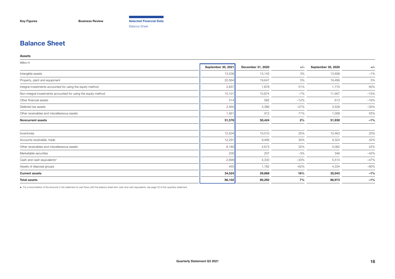<span id="page-17-0"></span>**[Key Figures](#page-2-0) [Business Review](#page-3-0) [Selected Financial Data](#page-16-0)**

Balance Sheet

## **Balance Sheet**

#### **Assets**

| Million $\in$                                                  |                    |                   |        |                    |        |
|----------------------------------------------------------------|--------------------|-------------------|--------|--------------------|--------|
|                                                                | September 30, 2021 | December 31, 2020 | $+/-$  | September 30, 2020 | $+/-$  |
| Intangible assets                                              | 13,536             | 13,145            | 3%     | 13,608             | $-1%$  |
| Property, plant and equipment                                  | 20,564             | 19,647            | 5%     | 19,496             | 5%     |
| Integral investments accounted for using the equity method     | 2,837              | 1,878             | 51%    | 1,770              | 60%    |
| Non-integral investments accounted for using the equity method | 10,101             | 10,874            | $-7%$  | 11,907             | $-15%$ |
| Other financial assets                                         | 514                | 582               | $-12%$ | 613                | $-16%$ |
| Deferred tax assets                                            | 2,465              | 3,386             | $-27%$ | 3,528              | $-30%$ |
| Other receivables and miscellaneous assets                     | 1,561              | 912               | 71%    | 1,008              | 55%    |
| <b>Noncurrent assets</b>                                       | 51,578             | 50,424            | 2%     | 51,930             | $-1%$  |
| Inventories                                                    | 12,504             | 10,010            | 25%    | 10,463             | 20%    |
| Accounts receivable, trade                                     | 12,291             | 9,466             | 30%    | 9,324              | 32%    |
| Other receivables and miscellaneous assets                     | 6,180              | 4,673             | 32%    | 5,062              | 22%    |
| Marketable securities                                          | 200                | 207               | $-3%$  | 346                | $-42%$ |
| Cash and cash equivalents <sup>a</sup>                         | 2,899              | 4,330             | $-33%$ | 5,514              | $-47%$ |
| Assets of disposal groups                                      | 450                | 1,182             | $-62%$ | 4,334              | $-90%$ |
| <b>Current assets</b>                                          | 34,524             | 29,868            | 16%    | 35,043             | $-1%$  |
| <b>Total assets</b>                                            | 86,102             | 80,292            | 7%     | 86,973             | $-1%$  |

**a** For a reconciliation of the amounts in the statement of cash flows with the balance sheet item cash and cash equivalents, [see page 20 of this quarterly statement.](#page-19-0)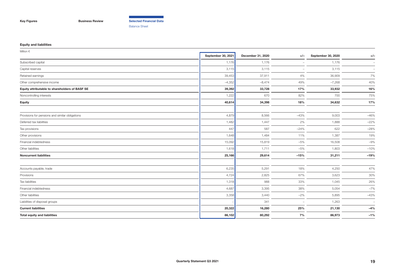**[Key Figures](#page-2-0) [Business Review](#page-3-0) [Selected Financial Data](#page-16-0)**

Balance Sheet

#### **Equity and liabilities**

| September 30, 2021<br>1,176<br>3,115<br>39,453<br>$-4,352$<br>39,392<br>1,222<br>40,614 | December 31, 2020<br>1,176<br>3,115<br>37,911<br>$-8,474$<br>33,728<br>670<br>34,398 | $+/-$<br>4%<br>49%<br>17%<br>82%<br>18% | September 30, 2020<br>1,176<br>3,115<br>36,909<br>$-7,268$<br>33,932<br>700<br>34,632 | $+/-$<br>$\overline{\phantom{a}}$<br>40%<br>16%<br>75% |
|-----------------------------------------------------------------------------------------|--------------------------------------------------------------------------------------|-----------------------------------------|---------------------------------------------------------------------------------------|--------------------------------------------------------|
|                                                                                         |                                                                                      |                                         |                                                                                       |                                                        |
|                                                                                         |                                                                                      |                                         |                                                                                       | 7%                                                     |
|                                                                                         |                                                                                      |                                         |                                                                                       |                                                        |
|                                                                                         |                                                                                      |                                         |                                                                                       |                                                        |
|                                                                                         |                                                                                      |                                         |                                                                                       |                                                        |
|                                                                                         |                                                                                      |                                         |                                                                                       |                                                        |
|                                                                                         |                                                                                      |                                         |                                                                                       |                                                        |
|                                                                                         |                                                                                      |                                         |                                                                                       | 17%                                                    |
|                                                                                         | 8,566                                                                                | $-43%$                                  | 9,003                                                                                 | $-46%$                                                 |
| 1,482                                                                                   | 1,447                                                                                | 2%                                      | 1,888                                                                                 | $-22%$                                                 |
| 447                                                                                     | 587                                                                                  | $-24%$                                  | 622                                                                                   | $-28%$                                                 |
| 1,648                                                                                   | 1,484                                                                                | 11%                                     | 1,387                                                                                 | 19%                                                    |
| 15,092                                                                                  | 15,819                                                                               | $-5%$                                   | 16,508                                                                                | $-9%$                                                  |
| 1,618                                                                                   | 1,711                                                                                | $-5%$                                   | 1,803                                                                                 | $-10%$                                                 |
| 25,166                                                                                  | 29,614                                                                               | $-15%$                                  | 31,211                                                                                | $-19%$                                                 |
| 6,235                                                                                   | 5,291                                                                                | 18%                                     | 4,250                                                                                 | 47%                                                    |
| 4,724                                                                                   | 2,825                                                                                | 67%                                     | 3,623                                                                                 | 30%                                                    |
| 1,318                                                                                   | 988                                                                                  | 33%                                     | 1,045                                                                                 | 26%                                                    |
| 4,687                                                                                   | 3,395                                                                                | 38%                                     | 5,054                                                                                 | $-7%$                                                  |
| 3,358                                                                                   | 3,440                                                                                | $-2%$                                   | 5,895                                                                                 | $-43%$                                                 |
|                                                                                         | 341                                                                                  | $\overline{\phantom{m}}$                | 1,263                                                                                 | $\overline{\phantom{a}}$                               |
| 20,322                                                                                  | 16,280                                                                               | 25%                                     | 21,130                                                                                | $-4%$                                                  |
| 86,102                                                                                  | 80,292                                                                               | 7%                                      | 86,973                                                                                | $-1%$                                                  |
|                                                                                         | 4,879                                                                                |                                         |                                                                                       |                                                        |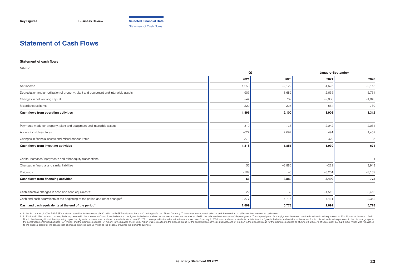<span id="page-19-0"></span>**[Key Figures](#page-2-0) [Business Review](#page-3-0) [Selected Financial Data](#page-16-0)** Statement of Cash Flows

## **Statement of Cash Flows**

#### **Statement of cash flows**

| Million $\in$                                                                           |                |          |          |                   |  |
|-----------------------------------------------------------------------------------------|----------------|----------|----------|-------------------|--|
|                                                                                         | Q <sub>3</sub> |          |          | January-September |  |
|                                                                                         | 2021           | 2020     | 2021     | 2020              |  |
| Net income                                                                              | 1,253          | $-2,122$ | 4,625    | $-2,115$          |  |
| Depreciation and amortization of property, plant and equipment and intangible assets    | 907            | 3,682    | 2,655    | 5,731             |  |
| Changes in net working capital                                                          | $-44$          | 767      | $-2,808$ | $-1,043$          |  |
| Miscellaneous items                                                                     | $-220$         | $-227$   | $-564$   | 739               |  |
| Cash flows from operating activities                                                    | 1,896          | 2,100    | 3,908    | 3,312             |  |
| Payments made for property, plant and equipment and intangible assets                   | $-819$         | $-736$   | $-2,042$ | $-2,031$          |  |
| Acquisitions/divestitures                                                               | $-627$         | 2,697    | 491      | 1,452             |  |
| Changes in financial assets and miscellaneous items                                     | $-372$         | $-110$   | $-379$   | $-95$             |  |
| Cash flows from investing activities                                                    | $-1,818$       | 1,851    | $-1,930$ | $-674$            |  |
| Capital increases/repayments and other equity transactions                              |                |          |          | $\overline{4}$    |  |
| Changes in financial and similar liabilities                                            | 53             | $-3,886$ | $-229$   | 3,913             |  |
| Dividends                                                                               | $-109$         | $-3$     | $-3,261$ | $-3,139$          |  |
| Cash flows from financing activities                                                    | $-56$          | $-3,889$ | $-3,490$ | 778               |  |
| Cash-effective changes in cash and cash equivalents <sup>a</sup>                        | 22             | 62       | $-1,512$ | 3,416             |  |
| Cash and cash equivalents at the beginning of the period and other changes <sup>b</sup> | 2,877          | 5,716    | 4,411    | 2,362             |  |
| Cash and cash equivalents at the end of the period <sup>b</sup>                         | 2,899          | 5,778    | 2,899    | 5,778             |  |

a In the first quarter of 2020, BASF SE transferred securities in the amount of 680 million to BASF Pensionstreuhand e.V., Ludwigshafen am Rhein, Germany. This transfer was not cash effective and therefore had no effect on

b In 2021 and 2020, cash and cash equivalents presented in the statement of cash flows deviate from the figures in the balance sheet, as the relevant amounts were reclassified in the balance sheet to assets of disposal gro Due to the derecognition of the disposal group of the pigments business, cash and cash equivalents since June 30, 2021, correspond to the value in the balance sheet. As of January 1, 2020, cash and cash equivalents deviate the construction chemicals business (621 million) and the pigments business (67 million). In the balance sheet, 6538 million was reclassified to the disposal group for the construction chemicals business, and 612 million t to the disposal group for the construction chemicals business, and €6 million to the disposal group for the pigments business.